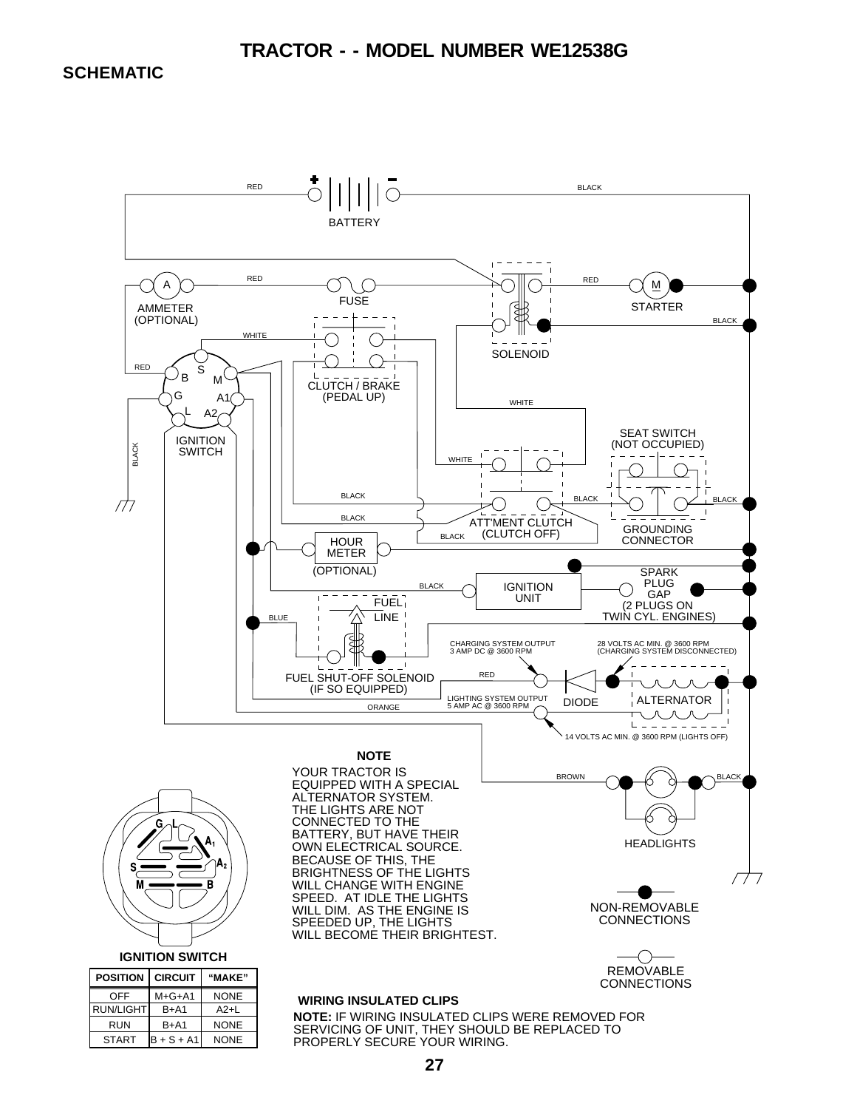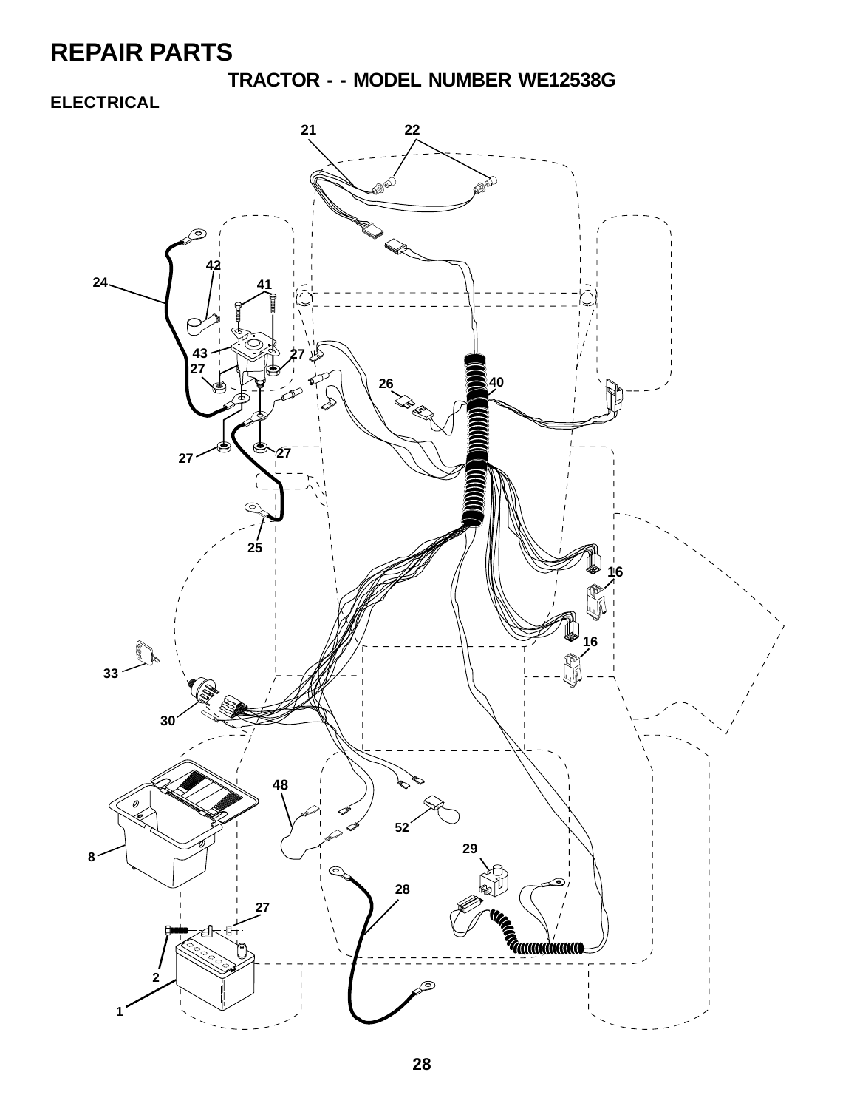**TRACTOR - - MODEL NUMBER WE12538G**

#### **ELECTRICAL**

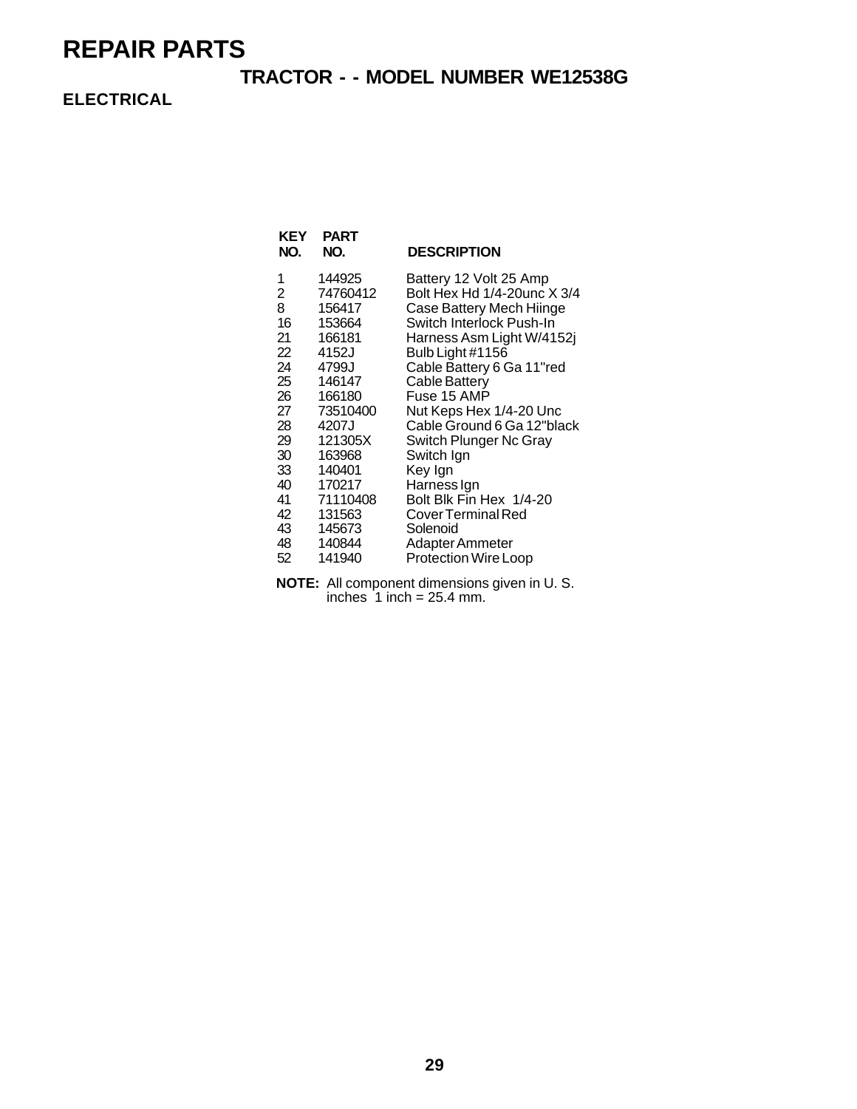#### **TRACTOR - - MODEL NUMBER WE12538G**

**ELECTRICAL**

| KEY<br>NO. | <b>PART</b><br>NO. | <b>DESCRIPTION</b>          |
|------------|--------------------|-----------------------------|
| 1          | 144925             | Battery 12 Volt 25 Amp      |
| 2          | 74760412           | Bolt Hex Hd 1/4-20unc X 3/4 |
| 8          | 156417             | Case Battery Mech Hiinge    |
| 16         | 153664             | Switch Interlock Push-In    |
| 21         | 166181             | Harness Asm Light W/4152j   |
| 22         | 4152J              | Bulb Light #1156            |
| 24         | 4799J              | Cable Battery 6 Ga 11"red   |
| 25         | 146147             | Cable Battery               |
| 26         | 166180             | Fuse 15 AMP                 |
| 27         | 73510400           | Nut Keps Hex 1/4-20 Unc     |
| 28         | 4207J              | Cable Ground 6 Ga 12"black  |
| 29         | 121305X            | Switch Plunger Nc Gray      |
| 30         | 163968             | Switch Ign                  |
| 33         | 140401             | Key Ign                     |
| 40         | 170217             | Harness Ign                 |
| 41         | 71110408           | Bolt Blk Fin Hex 1/4-20     |
| 42         | 131563             | Cover Terminal Red          |
| 43         | 145673             | Solenoid                    |
| 48         | 140844             | Adapter Ammeter             |
| 52         | 141940             | <b>Protection Wire Loop</b> |

**NOTE:** All component dimensions given in U. S. inches  $1$  inch = 25.4 mm.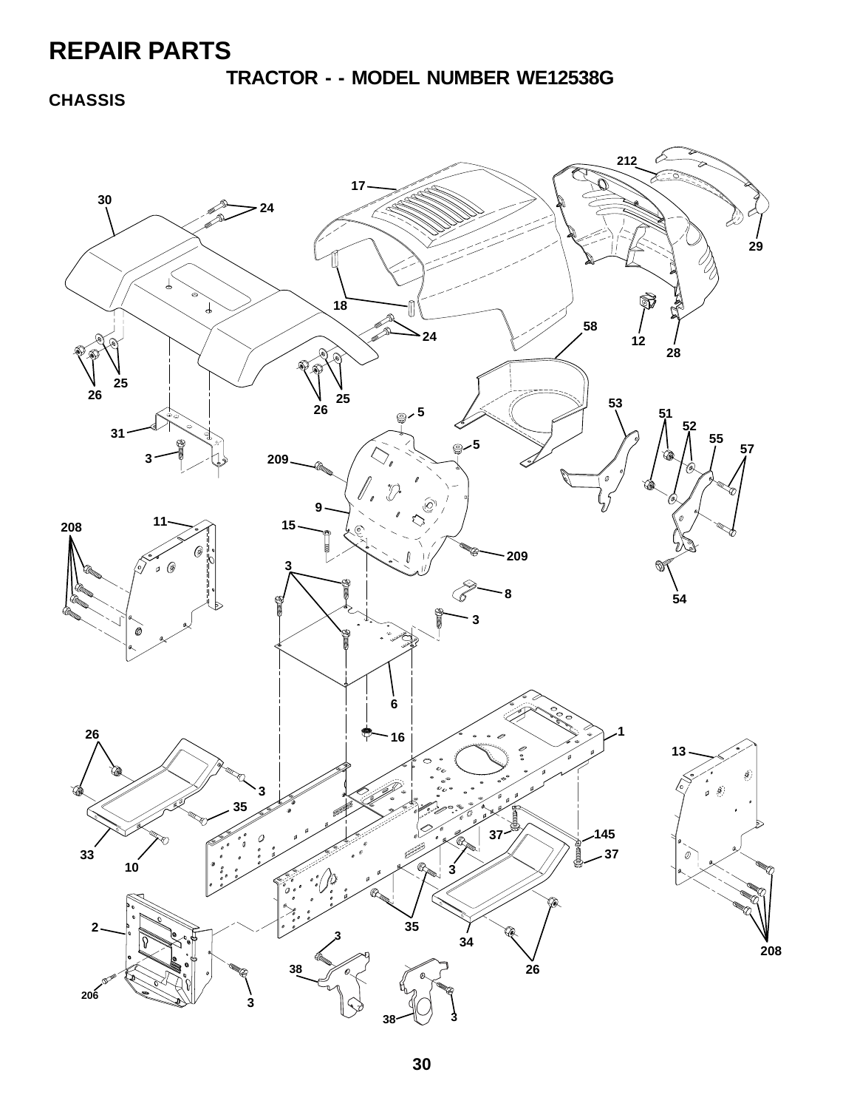**TRACTOR - - MODEL NUMBER WE12538G**

**CHASSIS**

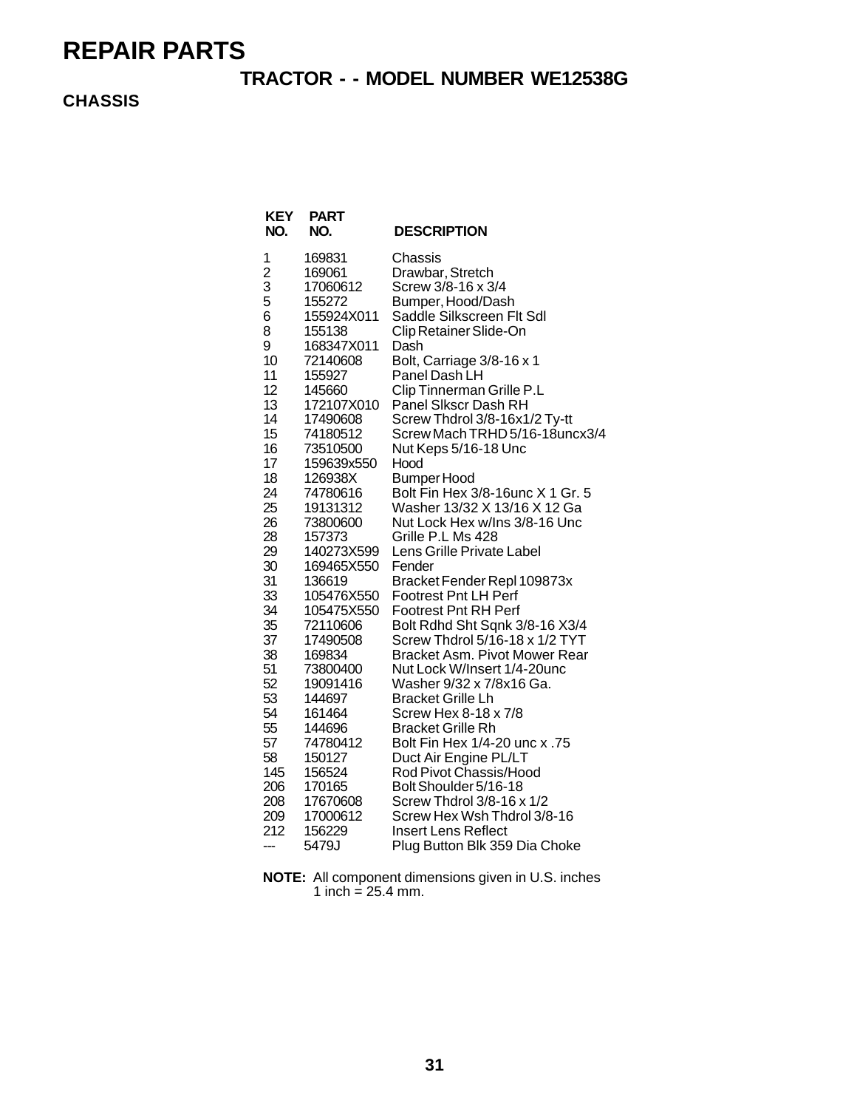#### **TRACTOR - - MODEL NUMBER WE12538G**

**CHASSIS**

| KEY<br>NO.     | <b>PART</b><br>NO. | <b>DESCRIPTION</b>                   |
|----------------|--------------------|--------------------------------------|
| 1              | 169831             | Chassis                              |
| $\overline{c}$ | 169061             | Drawbar, Stretch                     |
| 3              | 17060612           | Screw 3/8-16 x 3/4                   |
| 5              | 155272             | Bumper, Hood/Dash                    |
| 6              | 155924X011         | Saddle Silkscreen Flt Sdl            |
| 8              | 155138             | Clip Retainer Slide-On               |
| 9              | 168347X011         | Dash                                 |
| 10             | 72140608           | Bolt, Carriage 3/8-16 x 1            |
| 11             | 155927             | Panel Dash LH                        |
| 12             | 145660             | Clip Tinnerman Grille P.L            |
| 13             | 172107X010         | Panel Sikscr Dash RH                 |
| 14             | 17490608           | Screw Thdrol 3/8-16x1/2 Ty-tt        |
| 15             | 74180512           | Screw Mach TRHD 5/16-18uncx3/4       |
| 16             | 73510500           | Nut Keps 5/16-18 Unc                 |
| 17             | 159639x550         | Hood                                 |
| 18             | 126938X            | <b>Bumper Hood</b>                   |
| 24             | 74780616           | Bolt Fin Hex 3/8-16unc X 1 Gr. 5     |
| 25             | 19131312           | Washer 13/32 X 13/16 X 12 Ga         |
| 26             | 73800600           | Nut Lock Hex w/Ins 3/8-16 Unc        |
| 28             | 157373             | Grille P.L Ms 428                    |
| 29             | 140273X599         | Lens Grille Private Label            |
| 30             | 169465X550         | Fender                               |
| 31             | 136619             | Bracket Fender Repl 109873x          |
| 33             | 105476X550         | <b>Footrest Pnt LH Perf</b>          |
| 34             | 105475X550         | <b>Footrest Pnt RH Perf</b>          |
| 35             | 72110606           | Bolt Rdhd Sht Sqnk 3/8-16 X3/4       |
| 37             | 17490508           | Screw Thdrol 5/16-18 x 1/2 TYT       |
| 38             | 169834             | <b>Bracket Asm. Pivot Mower Rear</b> |
| 51             | 73800400           | Nut Lock W/Insert 1/4-20unc          |
| 52             | 19091416           | Washer 9/32 x 7/8x16 Ga.             |
| 53             | 144697             | <b>Bracket Grille Lh</b>             |
| 54             | 161464             | Screw Hex 8-18 x 7/8                 |
| 55             | 144696             | <b>Bracket Grille Rh</b>             |
| 57             | 74780412           | 57. Bolt Fin Hex 1/4-20 unc x        |
| 58             | 150127             | Duct Air Engine PL/LT                |
| 145            | 156524             | Rod Pivot Chassis/Hood               |
| 206            | 170165             | Bolt Shoulder 5/16-18                |
| 208            | 17670608           | Screw Thdrol 3/8-16 x 1/2            |
| 209            | 17000612           | Screw Hex Wsh Thdrol 3/8-16          |
| 212            | 156229             | <b>Insert Lens Reflect</b>           |
| ---            | 5479J              | Plug Button Blk 359 Dia Choke        |

**NOTE:** All component dimensions given in U.S. inches 1 inch =  $25.4$  mm.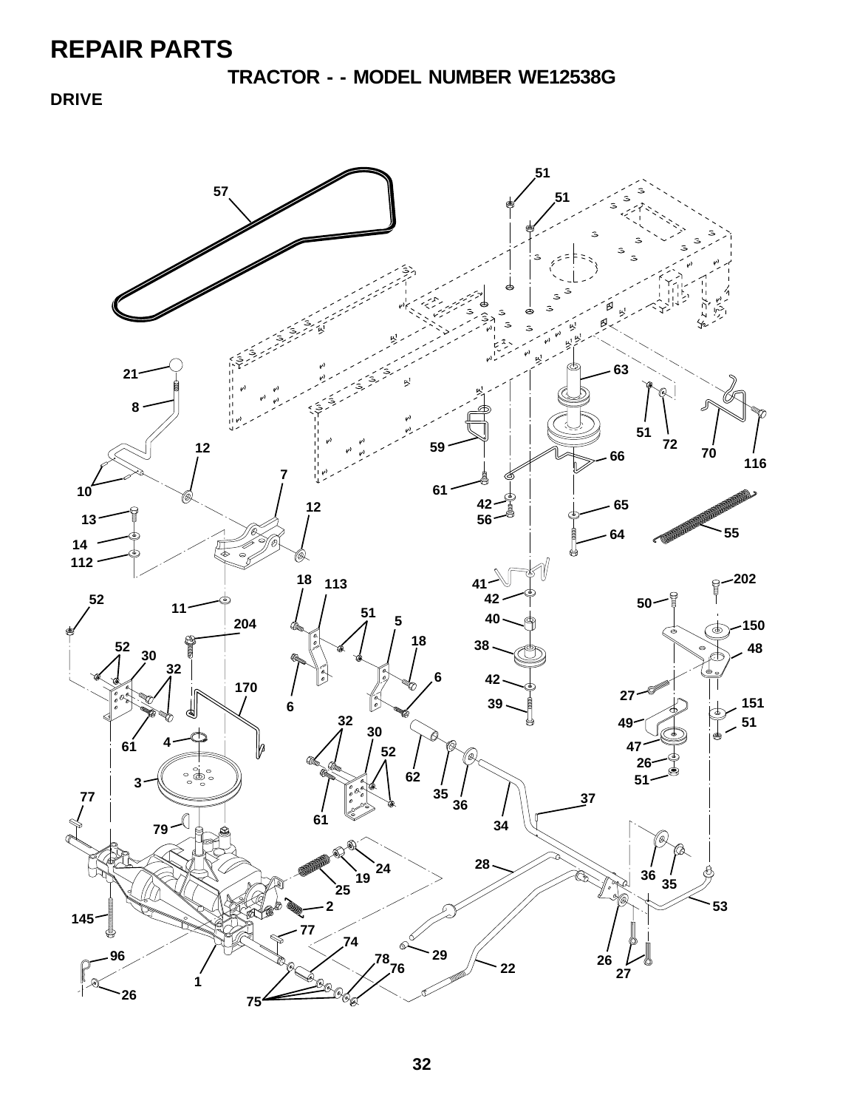**TRACTOR - - MODEL NUMBER WE12538G**

**DRIVE**

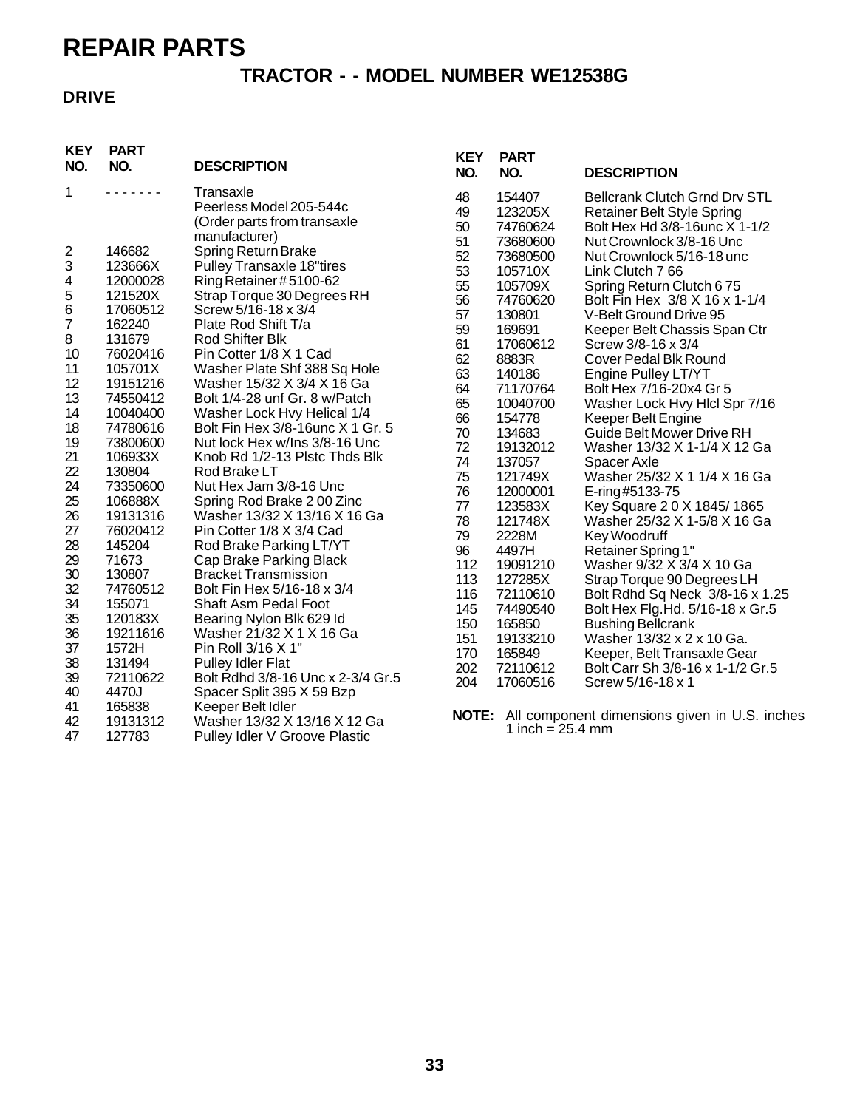#### **TRACTOR - - MODEL NUMBER WE12538G**

#### **DRIVE**

| <b>KEY</b><br>NO.         | <b>PART</b><br>NO.  | <b>DESCRIPTION</b>                                                                   | <b>KEY</b><br>NO.    | <b>PART</b><br>NO.                        | <b>DESCRIPTION</b>                                                                                                                     |
|---------------------------|---------------------|--------------------------------------------------------------------------------------|----------------------|-------------------------------------------|----------------------------------------------------------------------------------------------------------------------------------------|
| $\mathbf 1$               | .                   | Transaxle<br>Peerless Model 205-544c<br>(Order parts from transaxle<br>manufacturer) | 48<br>49<br>50<br>51 | 154407<br>123205X<br>74760624<br>73680600 | <b>Bellcrank Clutch Grnd Drv STL</b><br><b>Retainer Belt Style Spring</b><br>Bolt Hex Hd 3/8-16unc X 1-1/2<br>Nut Crownlock 3/8-16 Unc |
| $\overline{c}$            | 146682              | Spring Return Brake                                                                  | 52                   | 73680500                                  | Nut Crownlock 5/16-18 unc                                                                                                              |
| $\ensuremath{\mathsf{3}}$ | 123666X             | <b>Pulley Transaxle 18"tires</b>                                                     | 53                   | 105710X                                   | Link Clutch 7 66                                                                                                                       |
| 4                         | 12000028            | Ring Retainer #5100-62                                                               | 55                   | 105709X                                   | Spring Return Clutch 675                                                                                                               |
| 5                         | 121520X             | Strap Torque 30 Degrees RH                                                           | 56                   | 74760620                                  | Bolt Fin Hex 3/8 X 16 x 1-1/4                                                                                                          |
| $\,6$                     | 17060512            | Screw 5/16-18 x 3/4                                                                  | 57                   | 130801                                    | V-Belt Ground Drive 95                                                                                                                 |
| 7                         | 162240              | Plate Rod Shift T/a                                                                  | 59                   | 169691                                    | Keeper Belt Chassis Span Ctr                                                                                                           |
| 8                         | 131679              | Rod Shifter Blk                                                                      | 61                   | 17060612                                  | Screw 3/8-16 x 3/4                                                                                                                     |
| 10<br>11                  | 76020416<br>105701X | Pin Cotter 1/8 X 1 Cad                                                               | 62                   | 8883R                                     | <b>Cover Pedal Blk Round</b>                                                                                                           |
| 12                        | 19151216            | Washer Plate Shf 388 Sq Hole<br>Washer 15/32 X 3/4 X 16 Ga                           | 63                   | 140186                                    | Engine Pulley LT/YT                                                                                                                    |
| 13                        | 74550412            | Bolt 1/4-28 unf Gr. 8 w/Patch                                                        | 64                   | 71170764                                  | Bolt Hex 7/16-20x4 Gr 5                                                                                                                |
| 14                        | 10040400            | Washer Lock Hvy Helical 1/4                                                          | 65                   | 10040700                                  | Washer Lock Hvy Hlcl Spr 7/16                                                                                                          |
| 18                        | 74780616            | Bolt Fin Hex 3/8-16 unc X 1 Gr. 5                                                    | 66<br>70             | 154778                                    | Keeper Belt Engine                                                                                                                     |
| 19                        | 73800600            | Nut lock Hex w/Ins 3/8-16 Unc                                                        | 72                   | 134683<br>19132012                        | <b>Guide Belt Mower Drive RH</b><br>Washer 13/32 X 1-1/4 X 12 Ga                                                                       |
| 21                        | 106933X             | Knob Rd 1/2-13 Plstc Thds Blk                                                        | 74                   | 137057                                    | Spacer Axle                                                                                                                            |
| 22                        | 130804              | Rod Brake LT                                                                         | 75                   | 121749X                                   | Washer 25/32 X 1 1/4 X 16 Ga                                                                                                           |
| 24                        | 73350600            | Nut Hex Jam 3/8-16 Unc                                                               | 76                   | 12000001                                  | E-ring#5133-75                                                                                                                         |
| 25                        | 106888X             | Spring Rod Brake 200 Zinc                                                            | 77                   | 123583X                                   | Key Square 20 X 1845/1865                                                                                                              |
| 26                        | 19131316            | Washer 13/32 X 13/16 X 16 Ga                                                         | 78                   | 121748X                                   | Washer 25/32 X 1-5/8 X 16 Ga                                                                                                           |
| 27                        | 76020412            | Pin Cotter 1/8 X 3/4 Cad                                                             | 79                   | 2228M                                     | Key Woodruff                                                                                                                           |
| 28                        | 145204              | Rod Brake Parking LT/YT                                                              | 96                   | 4497H                                     | Retainer Spring 1"                                                                                                                     |
| 29<br>30                  | 71673<br>130807     | Cap Brake Parking Black<br><b>Bracket Transmission</b>                               | 112                  | 19091210                                  | Washer 9/32 X 3/4 X 10 Ga                                                                                                              |
| 32                        | 74760512            | Bolt Fin Hex 5/16-18 x 3/4                                                           | 113                  | 127285X                                   | Strap Torque 90 Degrees LH                                                                                                             |
| 34                        | 155071              | <b>Shaft Asm Pedal Foot</b>                                                          | 116                  | 72110610                                  | Bolt Rdhd Sq Neck 3/8-16 x 1.25                                                                                                        |
| 35                        | 120183X             | Bearing Nylon Blk 629 ld                                                             | 145                  | 74490540                                  | Bolt Hex Flg. Hd. 5/16-18 x Gr. 5                                                                                                      |
| 36                        | 19211616            | Washer 21/32 X 1 X 16 Ga                                                             | 150                  | 165850                                    | <b>Bushing Bellcrank</b>                                                                                                               |
| 37                        | 1572H               | Pin Roll 3/16 X 1"                                                                   | 151<br>170           | 19133210<br>165849                        | Washer 13/32 x 2 x 10 Ga.<br>Keeper, Belt Transaxle Gear                                                                               |
| 38                        | 131494              | <b>Pulley Idler Flat</b>                                                             | 202                  | 72110612                                  | Bolt Carr Sh 3/8-16 x 1-1/2 Gr.5                                                                                                       |
| 39                        | 72110622            | Bolt Rdhd 3/8-16 Unc x 2-3/4 Gr.5                                                    | 204                  | 17060516                                  | Screw 5/16-18 x 1                                                                                                                      |
| 40                        | 4470J               | Spacer Split 395 X 59 Bzp                                                            |                      |                                           |                                                                                                                                        |
| 41                        | 165838              | Keeper Belt Idler                                                                    | <b>NOTE:</b>         |                                           | All component dimensions given in U.S. inches                                                                                          |
| 42                        | 19131312            | Washer 13/32 X 13/16 X 12 Ga                                                         |                      | 1 inch = $25.4 \text{ mm}$                |                                                                                                                                        |
| 47                        | 127783              | Pulley Idler V Groove Plastic                                                        |                      |                                           |                                                                                                                                        |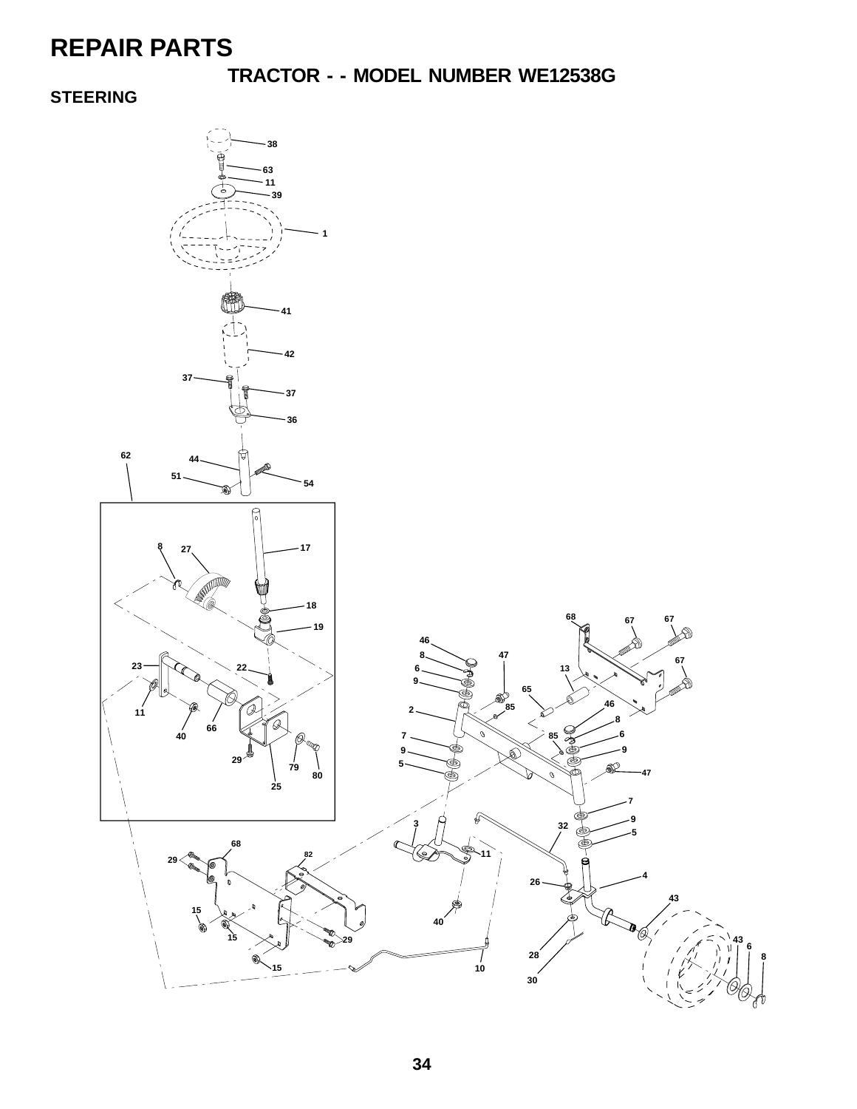### **TRACTOR - - MODEL NUMBER WE12538G**

#### **STEERING**

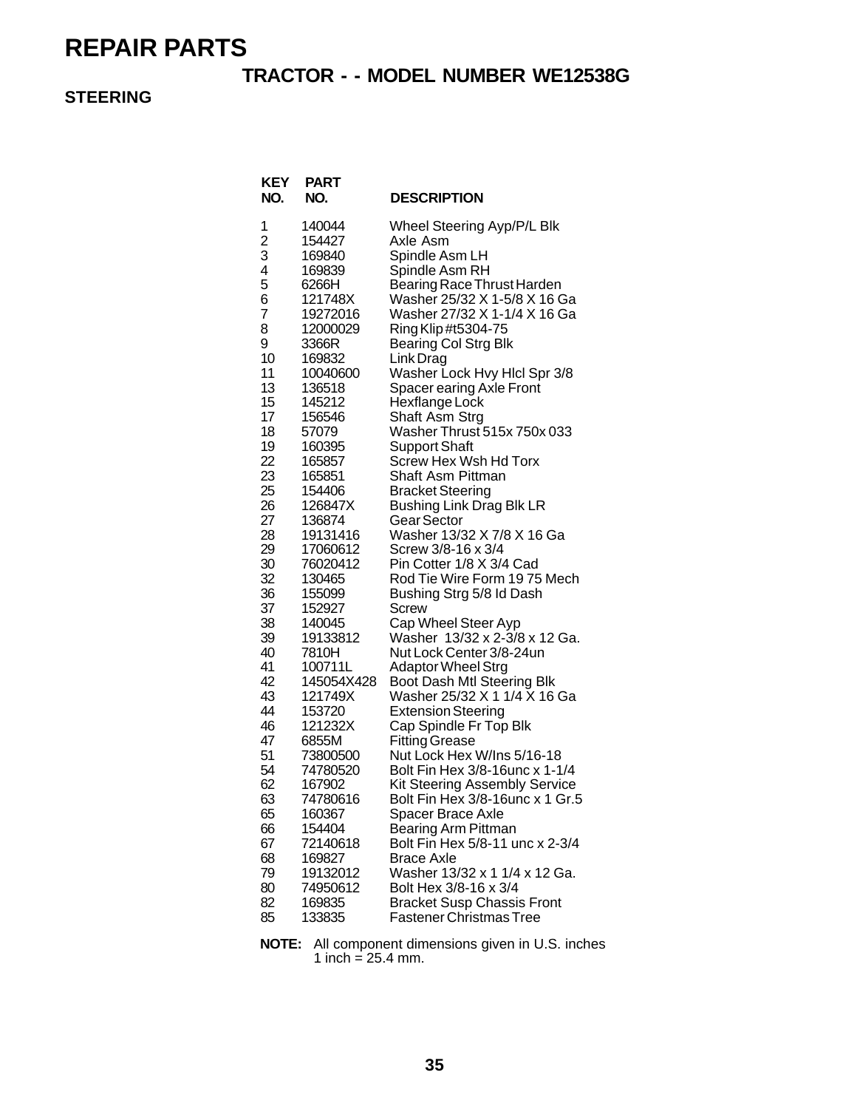#### **TRACTOR - - MODEL NUMBER WE12538G**

#### **STEERING**

| KEY<br>NO.     | <b>PART</b><br>NO.   | <b>DESCRIPTION</b>                                  |
|----------------|----------------------|-----------------------------------------------------|
| 1              | 140044               | Wheel Steering Ayp/P/L Blk                          |
| $\overline{c}$ | 154427               | Axle Asm                                            |
| 3              | 169840               | Spindle Asm LH                                      |
| 4              | 169839               | Spindle Asm RH                                      |
| 5              | 6266H                | Bearing Race Thrust Harden                          |
| 6<br>7         | 121748X              | Washer 25/32 X 1-5/8 X 16 Ga                        |
| 8              | 19272016<br>12000029 | Washer 27/32 X 1-1/4 X 16 Ga                        |
| 9              | 3366R                | Ring Klip #t5304-75<br><b>Bearing Col Strg Blk</b>  |
| 10             | 169832               | Link Drag                                           |
| 11             | 10040600             | Washer Lock Hvy Hicl Spr 3/8                        |
| 13             | 136518               | Spacer earing Axle Front                            |
| 15             | 145212               | Hexflange Lock                                      |
| 17             | 156546               | Shaft Asm Strg                                      |
| 18             | 57079                | Washer Thrust 515x 750x 033                         |
| 19             | 160395               | <b>Support Shaft</b>                                |
| 22             | 165857               | Screw Hex Wsh Hd Torx                               |
| 23             | 165851               | Shaft Asm Pittman                                   |
| 25             | 154406               | <b>Bracket Steering</b>                             |
| 26             | 126847X              | <b>Bushing Link Drag Blk LR</b>                     |
| 27<br>28       | 136874<br>19131416   | Gear Sector<br>Washer 13/32 X 7/8 X 16 Ga           |
| 29             | 17060612             | Screw 3/8-16 x 3/4                                  |
| 30             | 76020412             | Pin Cotter 1/8 X 3/4 Cad                            |
| 32             | 130465               | Rod Tie Wire Form 1975 Mech                         |
| 36             | 155099               | Bushing Strg 5/8 Id Dash                            |
| 37             | 152927               | Screw                                               |
| 38             | 140045               | Cap Wheel Steer Ayp                                 |
| 39             | 19133812             | Washer 13/32 x 2-3/8 x 12 Ga.                       |
| 40             | 7810H                | Nut Lock Center 3/8-24un                            |
| 41             | 100711L              | <b>Adaptor Wheel Strg</b>                           |
| 42             | 145054X428           | Boot Dash Mtl Steering Blk                          |
| 43             | 121749X              | Washer 25/32 X 1 1/4 X 16 Ga                        |
| 44<br>46       | 153720<br>121232X    | <b>Extension Steering</b><br>Cap Spindle Fr Top Blk |
| 47             | 6855M                | <b>Fitting Grease</b>                               |
| 51             | 73800500             | Nut Lock Hex W/Ins 5/16-18                          |
| 54             | 74780520             | Bolt Fin Hex 3/8-16 unc x 1-1/4                     |
| 62             | 167902               | <b>Kit Steering Assembly Service</b>                |
| 63             | 74780616             | Bolt Fin Hex 3/8-16unc x 1 Gr.5                     |
| 65             | 160367               | Spacer Brace Axle                                   |
| 66             | 154404               | Bearing Arm Pittman                                 |
| 67             | 72140618             | Bolt Fin Hex 5/8-11 unc x 2-3/4                     |
| 68             | 169827               | <b>Brace Axle</b>                                   |
| 79             | 19132012             | Washer 13/32 x 1 1/4 x 12 Ga.                       |
| 80             | 74950612             | Bolt Hex 3/8-16 x 3/4                               |
| 82             | 169835               | <b>Bracket Susp Chassis Front</b>                   |
| 85             | 133835               | <b>Fastener Christmas Tree</b>                      |

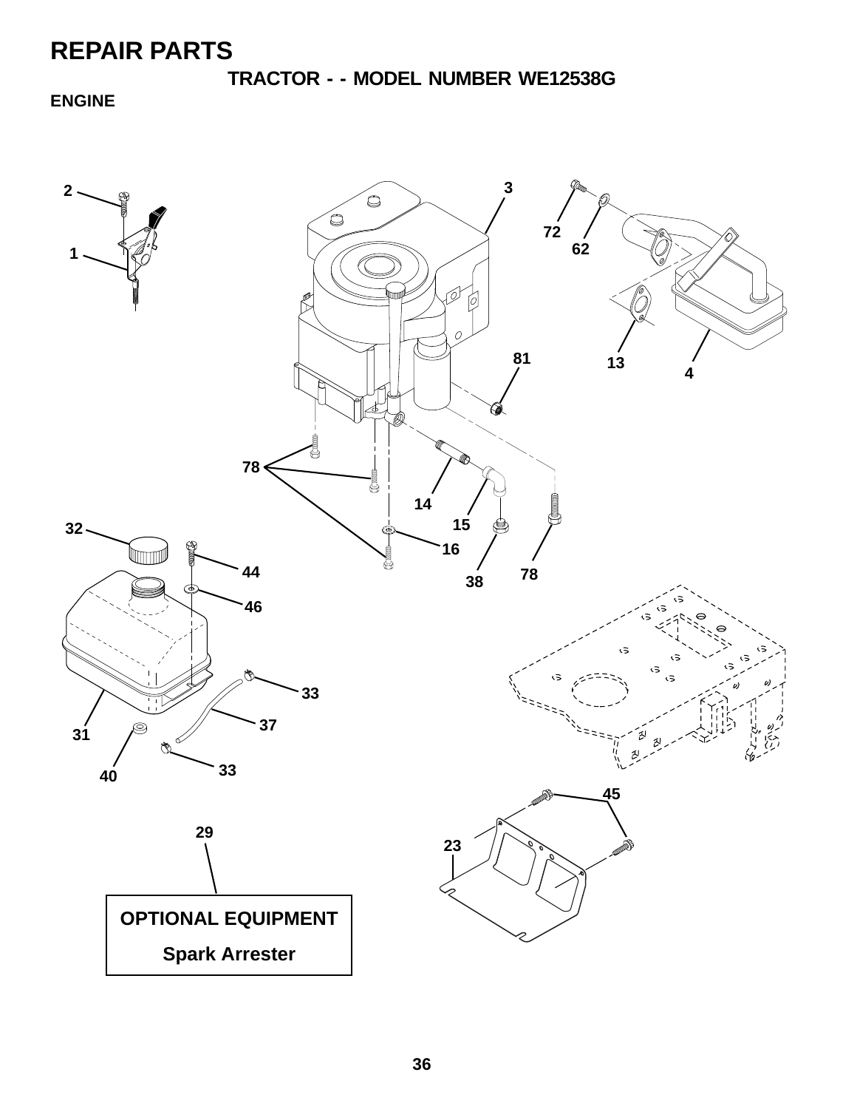**TRACTOR - - MODEL NUMBER WE12538G**

**ENGINE**

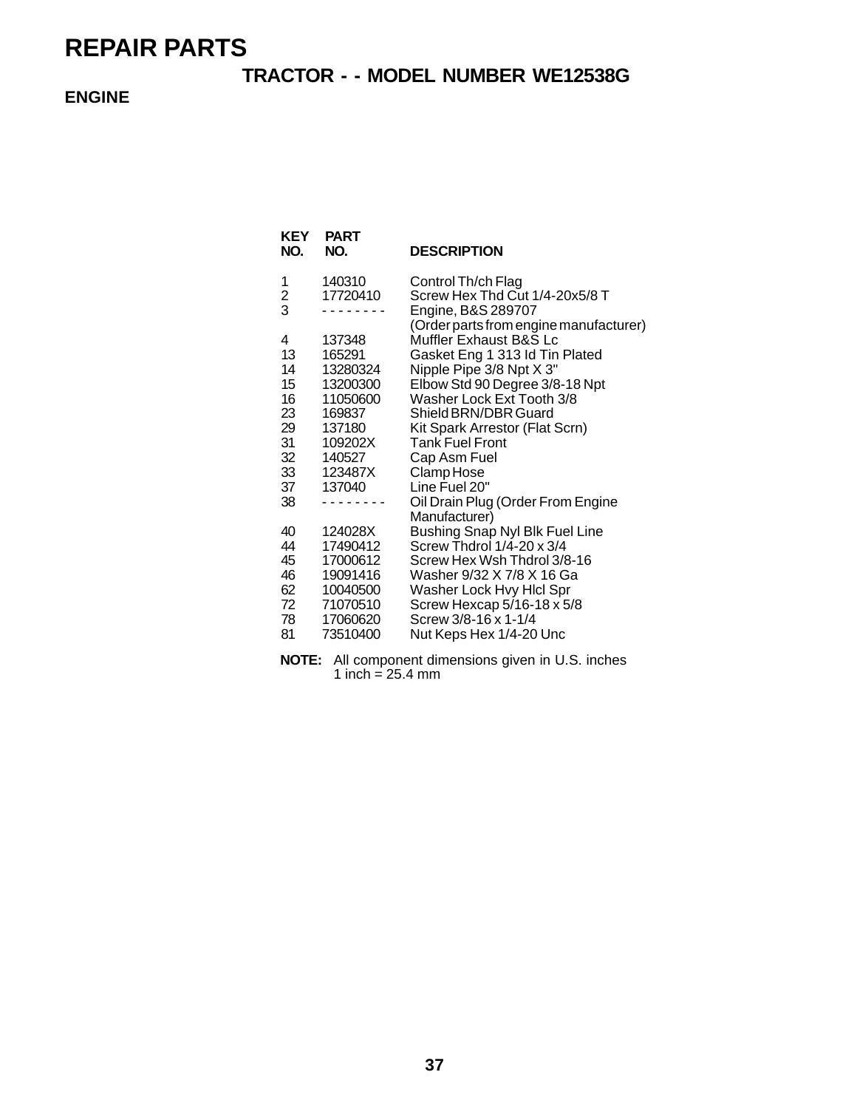#### **TRACTOR - - MODEL NUMBER WE12538G**

**ENGINE**

| KEY<br>NO.    | <b>PART</b><br>NO.   | <b>DESCRIPTION</b>                                               |
|---------------|----------------------|------------------------------------------------------------------|
| 1             | 140310               | Control Th/ch Flag                                               |
| $\frac{2}{3}$ | 17720410             | Screw Hex Thd Cut 1/4-20x5/8 T<br>Engine, B&S 289707             |
| 4             | 137348               | (Order parts from engine manufacturer)<br>Muffler Exhaust B&S Lc |
| 13            | 165291               | Gasket Eng 1 313 ld Tin Plated                                   |
| 14<br>15      | 13280324<br>13200300 | Nipple Pipe 3/8 Npt X 3"<br>Elbow Std 90 Degree 3/8-18 Npt       |
| 16            | 11050600             | Washer Lock Ext Tooth 3/8                                        |
| 23            | 169837               | Shield BRN/DBR Guard                                             |
| 29            | 137180               | Kit Spark Arrestor (Flat Scrn)                                   |
| 31            | 109202X              | <b>Tank Fuel Front</b>                                           |
| 32<br>33      | 140527<br>123487X    | Cap Asm Fuel<br>Clamp Hose                                       |
| 37            | 137040               | Line Fuel 20"                                                    |
| 38            |                      | Oil Drain Plug (Order From Engine                                |
|               |                      | Manufacturer)                                                    |
| 40            | 124028X              | Bushing Snap Nyl Blk Fuel Line                                   |
| 44            | 17490412             | Screw Thdrol 1/4-20 x 3/4                                        |
| 45<br>46      | 17000612<br>19091416 | Screw Hex Wsh Thdrol 3/8-16<br>Washer 9/32 X 7/8 X 16 Ga         |
| 62            | 10040500             | Washer Lock Hvy Hicl Spr                                         |
| 72            | 71070510             | Screw Hexcap 5/16-18 x 5/8                                       |
| 78            | 17060620             | Screw 3/8-16 x 1-1/4                                             |
| 81            | 73510400             | Nut Keps Hex 1/4-20 Unc                                          |
|               |                      |                                                                  |

**NOTE:** All component dimensions given in U.S. inches 1 inch =  $25.4 \text{ mm}$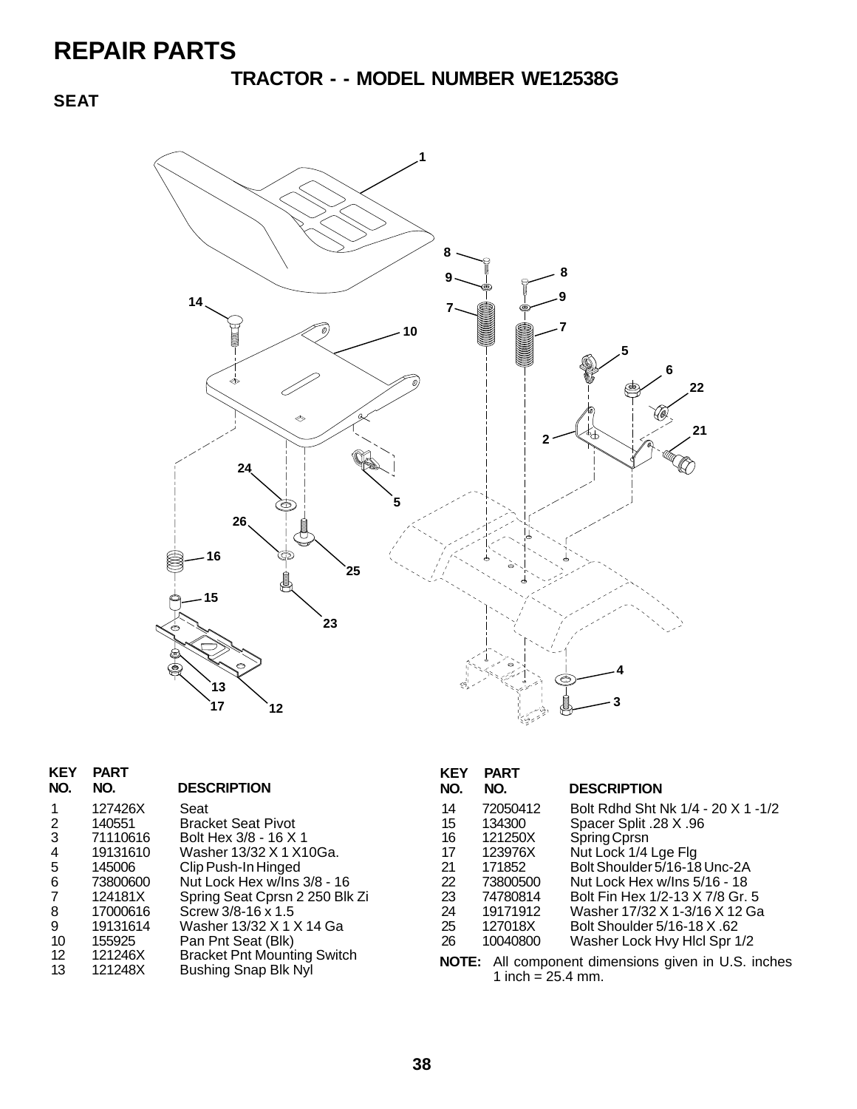**TRACTOR - - MODEL NUMBER WE12538G**

**SEAT**



| <b>PART</b><br>NO. | <b>DESCRIPTION</b>                 |
|--------------------|------------------------------------|
| 127426X            | Seat                               |
| 140551             | <b>Bracket Seat Pivot</b>          |
| 71110616           | Bolt Hex 3/8 - 16 X 1              |
| 19131610           | Washer 13/32 X 1 X10Ga.            |
| 145006             | Clip Push-In Hinged                |
| 73800600           | Nut Lock Hex w/Ins 3/8 - 16        |
| 124181X            | Spring Seat Cprsn 2 250 Blk Zi     |
| 17000616           | Screw 3/8-16 x 1.5                 |
| 19131614           | Washer 13/32 X 1 X 14 Ga           |
| 155925             | Pan Pnt Seat (Blk)                 |
| 121246X            | <b>Bracket Pnt Mounting Switch</b> |
| 121248X            | <b>Bushing Snap Blk Nyl</b>        |
|                    |                                    |

| KEY<br>NO. | <b>PART</b><br>NO. | <b>DESCRIPTION</b>                 |
|------------|--------------------|------------------------------------|
| 14         | 72050412           | Bolt Rdhd Sht Nk 1/4 - 20 X 1 -1/2 |
| 15         | 134300             | Spacer Split .28 X .96             |
| 16         | 121250X            | Spring Cprsn                       |
| 17         | 123976X            | Nut Lock 1/4 Lge Flg               |
| 21         | 171852             | Bolt Shoulder 5/16-18 Unc-2A       |
| 22         | 73800500           | Nut Lock Hex w/Ins 5/16 - 18       |
| 23         | 74780814           | Bolt Fin Hex 1/2-13 X 7/8 Gr. 5    |
| 24         | 19171912           | Washer 17/32 X 1-3/16 X 12 Ga      |
| 25         | 127018X            | Bolt Shoulder 5/16-18 X .62        |
| 26         | 10040800           | Washer Lock Hvy Hicl Spr 1/2       |

**NOTE:** All component dimensions given in U.S. inches 1 inch =  $25.4$  mm.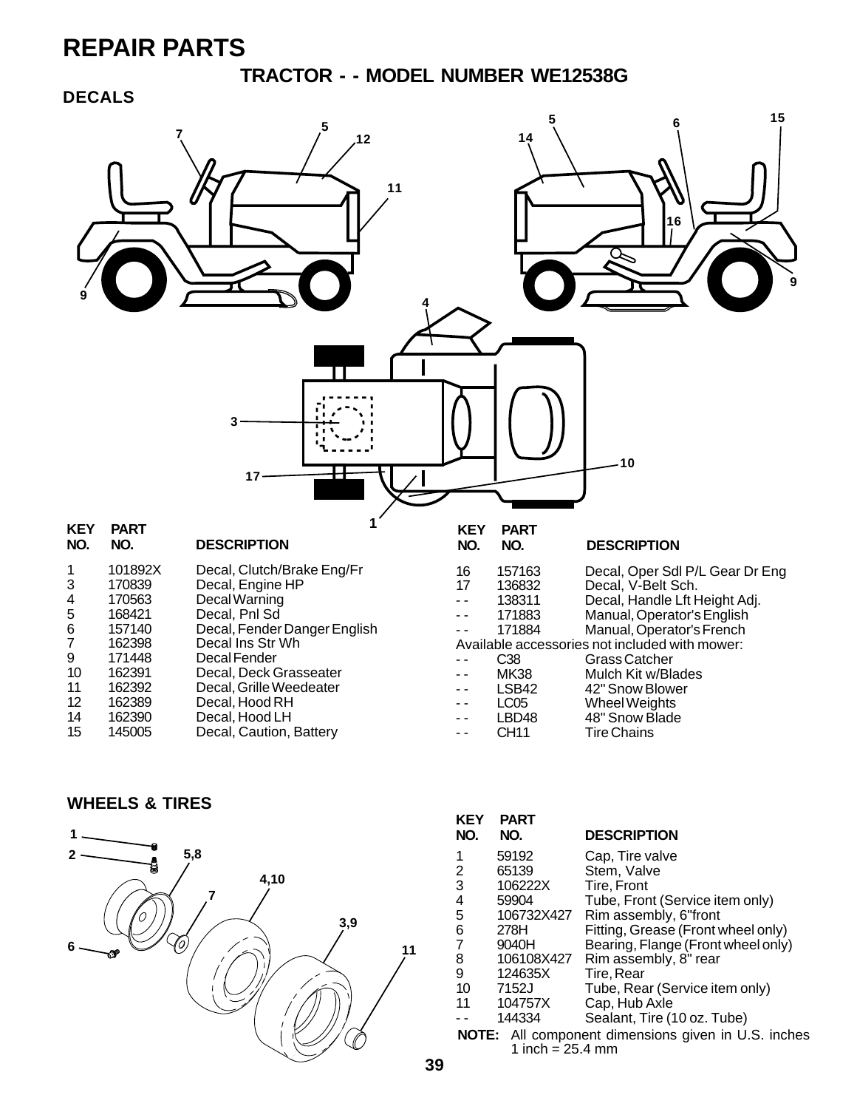#### **TRACTOR - - MODEL NUMBER WE12538G**

#### **DECALS**



#### **WHEELS & TIRES**



| <b>KEY</b><br>NO. | <b>PART</b><br>NO.         | <b>DESCRIPTION</b>                                         |
|-------------------|----------------------------|------------------------------------------------------------|
| 1                 | 59192                      | Cap, Tire valve                                            |
| 2                 | 65139                      | Stem, Valve                                                |
| 3                 | 106222X                    | Tire. Front                                                |
| 4                 | 59904                      | Tube, Front (Service item only)                            |
| 5                 | 106732X427                 | Rim assembly, 6"front                                      |
| 6                 | 278H                       | Fitting, Grease (Front wheel only)                         |
| $\overline{7}$    | 9040H                      | Bearing, Flange (Front wheel only)                         |
| 8                 | 106108X427                 | Rim assembly, 8" rear                                      |
| 9                 | 124635X                    | Tire, Rear                                                 |
| 10                | 7152J                      | Tube, Rear (Service item only)                             |
| 11                | 104757X                    | Cap, Hub Axle                                              |
|                   | 144334                     | Sealant, Tire (10 oz. Tube)                                |
|                   |                            | <b>NOTE:</b> All component dimensions given in U.S. inches |
|                   | 1 inch = $25.4 \text{ mm}$ |                                                            |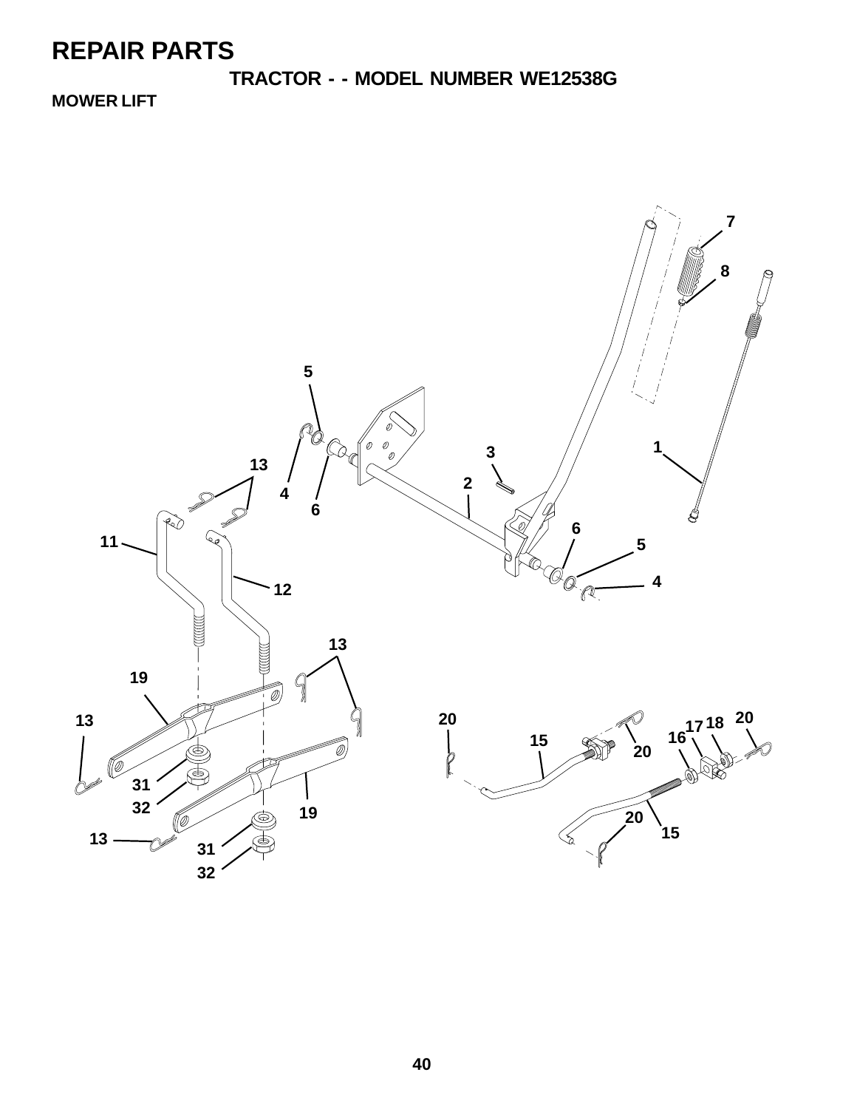**TRACTOR - - MODEL NUMBER WE12538G**

**MOWER LIFT**

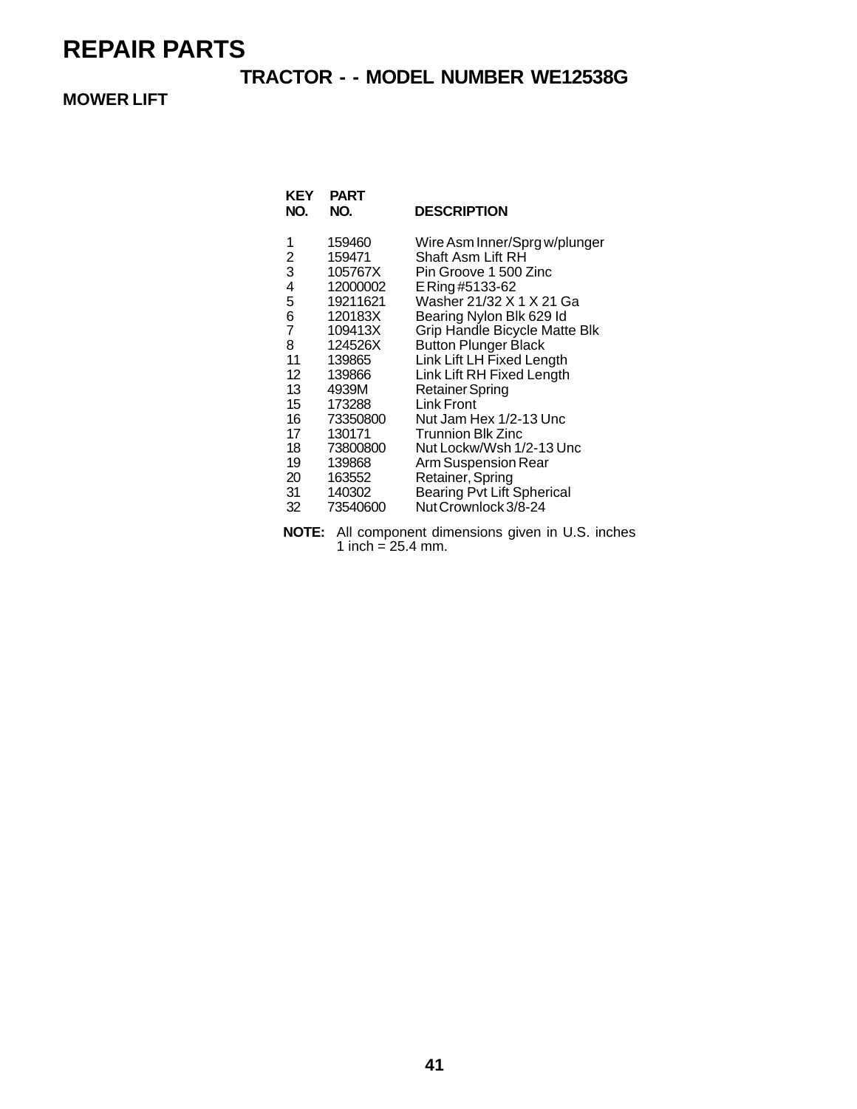#### **TRACTOR - - MODEL NUMBER WE12538G**

#### **MOWER LIFT**

| <b>KEY</b><br>NO.                                                                                                   | <b>PART</b><br>NO.                                                                                                                                                                                      | <b>DESCRIPTION</b>                                                                                                                                                                                                                                                                                                                                                                                                                                                                                          |
|---------------------------------------------------------------------------------------------------------------------|---------------------------------------------------------------------------------------------------------------------------------------------------------------------------------------------------------|-------------------------------------------------------------------------------------------------------------------------------------------------------------------------------------------------------------------------------------------------------------------------------------------------------------------------------------------------------------------------------------------------------------------------------------------------------------------------------------------------------------|
| 1<br>2<br>3<br>4<br>5<br>6<br>$\overline{7}$<br>8<br>11<br>12<br>13<br>15<br>16<br>17<br>18<br>19<br>20<br>31<br>32 | 159460<br>159471<br>105767X<br>12000002<br>19211621<br>120183X<br>109413X<br>124526X<br>139865<br>139866<br>4939M<br>173288<br>73350800<br>130171<br>73800800<br>139868<br>163552<br>140302<br>73540600 | Wire Asm Inner/Sprg w/plunger<br>Shaft Asm Lift RH<br>Pin Groove 1 500 Zinc<br>E Ring #5133-62<br>Washer 21/32 X 1 X 21 Ga<br>Bearing Nylon Blk 629 ld<br>Grip Handle Bicycle Matte Blk<br><b>Button Plunger Black</b><br>Link Lift LH Fixed Length<br>Link Lift RH Fixed Length<br>Retainer Spring<br>Link Front<br>Nut Jam Hex 1/2-13 Unc<br><b>Trunnion Blk Zinc</b><br>Nut Lockw/Wsh 1/2-13 Unc<br>Arm Suspension Rear<br>Retainer, Spring<br><b>Bearing Pvt Lift Spherical</b><br>Nut Crownlock 3/8-24 |
|                                                                                                                     |                                                                                                                                                                                                         |                                                                                                                                                                                                                                                                                                                                                                                                                                                                                                             |

**NOTE:** All component dimensions given in U.S. inches 1 inch =  $25.4$  mm.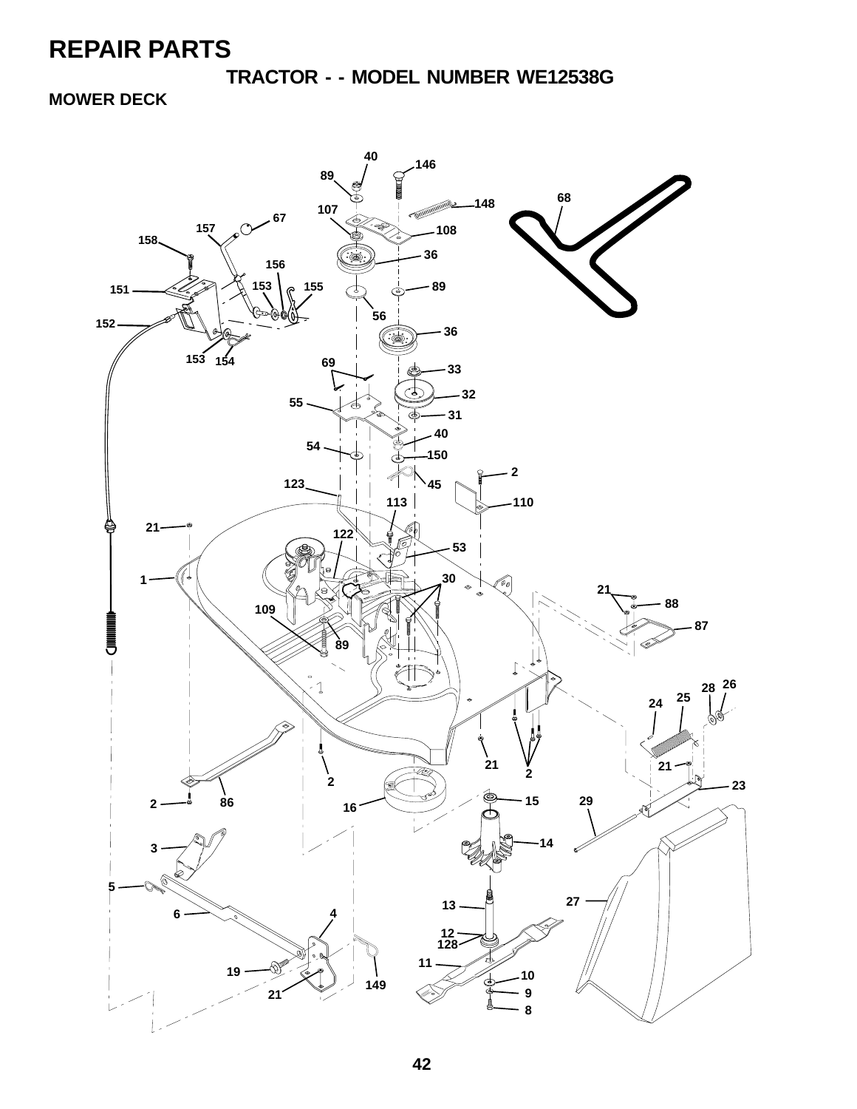**TRACTOR - - MODEL NUMBER WE12538G**

**MOWER DECK**